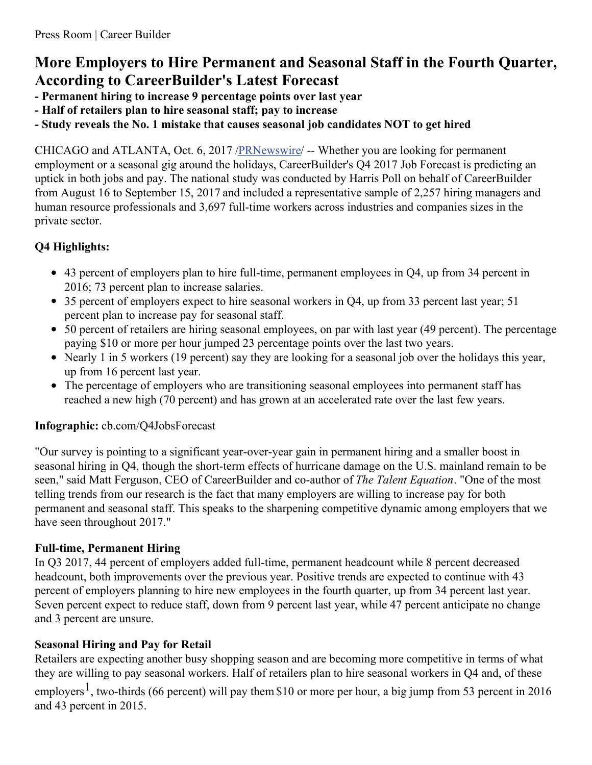# **More Employers to Hire Permanent and Seasonal Staff in the Fourth Quarter, According to CareerBuilder's Latest Forecast**

- **- Permanent hiring to increase 9 percentage points over last year**
- **- Half of retailers plan to hire seasonal staff; pay to increase**
- **- Study reveals the No. 1 mistake that causes seasonal job candidates NOT to get hired**

CHICAGO and ATLANTA, Oct. 6, 2017 [/PRNewswire](http://www.prnewswire.com/)/ -- Whether you are looking for permanent employment or a seasonal gig around the holidays, CareerBuilder's Q4 2017 Job Forecast is predicting an uptick in both jobs and pay. The national study was conducted by Harris Poll on behalf of CareerBuilder from August 16 to September 15, 2017 and included a representative sample of 2,257 hiring managers and human resource professionals and 3,697 full-time workers across industries and companies sizes in the private sector.

## **Q4 Highlights:**

- 43 percent of employers plan to hire full-time, permanent employees in Q4, up from 34 percent in 2016; 73 percent plan to increase salaries.
- 35 percent of employers expect to hire seasonal workers in Q4, up from 33 percent last year; 51 percent plan to increase pay for seasonal staff.
- 50 percent of retailers are hiring seasonal employees, on par with last year (49 percent). The percentage paying \$10 or more per hour jumped 23 percentage points over the last two years.
- Nearly 1 in 5 workers (19 percent) say they are looking for a seasonal job over the holidays this year, up from 16 percent last year.
- The percentage of employers who are transitioning seasonal employees into permanent staff has reached a new high (70 percent) and has grown at an accelerated rate over the last few years.

## **Infographic:** cb.com/Q4JobsForecast

"Our survey is pointing to a significant year-over-year gain in permanent hiring and a smaller boost in seasonal hiring in Q4, though the short-term effects of hurricane damage on the U.S. mainland remain to be seen," said Matt Ferguson, CEO of CareerBuilder and co-author of *The Talent Equation*. "One of the most telling trends from our research is the fact that many employers are willing to increase pay for both permanent and seasonal staff. This speaks to the sharpening competitive dynamic among employers that we have seen throughout 2017."

## **Full-time, Permanent Hiring**

In Q3 2017, 44 percent of employers added full-time, permanent headcount while 8 percent decreased headcount, both improvements over the previous year. Positive trends are expected to continue with 43 percent of employers planning to hire new employees in the fourth quarter, up from 34 percent last year. Seven percent expect to reduce staff, down from 9 percent last year, while 47 percent anticipate no change and 3 percent are unsure.

## **Seasonal Hiring and Pay for Retail**

Retailers are expecting another busy shopping season and are becoming more competitive in terms of what they are willing to pay seasonal workers. Half of retailers plan to hire seasonal workers in Q4 and, of these

employers<sup>1</sup>, two-thirds (66 percent) will pay them \$10 or more per hour, a big jump from 53 percent in 2016 and 43 percent in 2015.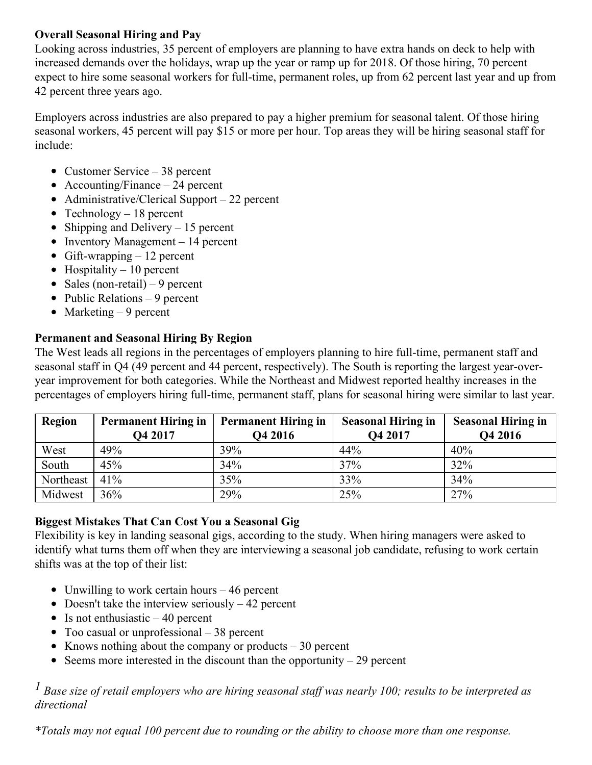#### **Overall Seasonal Hiring and Pay**

Looking across industries, 35 percent of employers are planning to have extra hands on deck to help with increased demands over the holidays, wrap up the year or ramp up for 2018. Of those hiring, 70 percent expect to hire some seasonal workers for full-time, permanent roles, up from 62 percent last year and up from 42 percent three years ago.

Employers across industries are also prepared to pay a higher premium for seasonal talent. Of those hiring seasonal workers, 45 percent will pay \$15 or more per hour. Top areas they will be hiring seasonal staff for include:

- Customer Service 38 percent
- Accounting/Finance  $-24$  percent
- Administrative/Clerical Support 22 percent
- Technology  $-18$  percent
- Shipping and Delivery  $-15$  percent
- Inventory Management  $-14$  percent
- Gift-wrapping  $-12$  percent
- Hospitality  $-10$  percent
- Sales (non-retail) 9 percent
- Public Relations  $-9$  percent
- Marketing  $-9$  percent

#### **Permanent and Seasonal Hiring By Region**

The West leads all regions in the percentages of employers planning to hire full-time, permanent staff and seasonal staff in Q4 (49 percent and 44 percent, respectively). The South is reporting the largest year-overyear improvement for both categories. While the Northeast and Midwest reported healthy increases in the percentages of employers hiring full-time, permanent staff, plans for seasonal hiring were similar to last year.

| Region    | <b>Permanent Hiring in</b><br>Q4 2017 | <b>Permanent Hiring in</b><br>Q4 2016 | <b>Seasonal Hiring in</b><br>Q4 2017 | <b>Seasonal Hiring in</b><br>Q4 2016 |
|-----------|---------------------------------------|---------------------------------------|--------------------------------------|--------------------------------------|
| West      | 49%                                   | 39%                                   | 44%                                  | 40%                                  |
| South     | 45%                                   | 34%                                   | 37%                                  | 32%                                  |
| Northeast | 41%                                   | 35%                                   | 33%                                  | 34%                                  |
| Midwest   | 36%                                   | 29%                                   | 25%                                  | 27%                                  |

## **Biggest Mistakes That Can Cost You a Seasonal Gig**

Flexibility is key in landing seasonal gigs, according to the study. When hiring managers were asked to identify what turns them off when they are interviewing a seasonal job candidate, refusing to work certain shifts was at the top of their list:

- Unwilling to work certain hours  $-46$  percent
- Doesn't take the interview seriously  $-42$  percent
- Is not enthusiastic  $-40$  percent
- Too casual or unprofessional 38 percent
- Knows nothing about the company or products  $-30$  percent
- Seems more interested in the discount than the opportunity  $-29$  percent

<sup>1</sup> Base size of retail employers who are hiring seasonal staff was nearly 100; results to be interpreted as *directional*

*\*Totals may not equal 100 percent due to rounding or the ability to choose more than one response.*